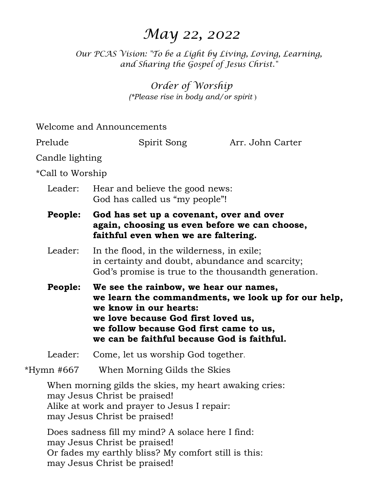# *May 22, 2022*

*Our PCAS Vision: "To be a Light by Living, Loving, Learning, and Sharing the Gospel of Jesus Christ."* 

> *Order of Worship (\*Please rise in body and/or spirit* )

|                  | Welcome and Announcements                                                                                                                                                                                                                                                                                                                                                                                                            |                  |  |  |
|------------------|--------------------------------------------------------------------------------------------------------------------------------------------------------------------------------------------------------------------------------------------------------------------------------------------------------------------------------------------------------------------------------------------------------------------------------------|------------------|--|--|
| Prelude          | Spirit Song                                                                                                                                                                                                                                                                                                                                                                                                                          | Arr. John Carter |  |  |
| Candle lighting  |                                                                                                                                                                                                                                                                                                                                                                                                                                      |                  |  |  |
| *Call to Worship |                                                                                                                                                                                                                                                                                                                                                                                                                                      |                  |  |  |
| Leader:          | Hear and believe the good news:<br>God has called us "my people"!                                                                                                                                                                                                                                                                                                                                                                    |                  |  |  |
| People:          | God has set up a covenant, over and over<br>again, choosing us even before we can choose,<br>faithful even when we are faltering.                                                                                                                                                                                                                                                                                                    |                  |  |  |
| Leader:          | In the flood, in the wilderness, in exile;<br>in certainty and doubt, abundance and scarcity;<br>God's promise is true to the thousand the generation.<br>We see the rainbow, we hear our names,<br><b>People:</b><br>we learn the commandments, we look up for our help,<br>we know in our hearts:<br>we love because God first loved us,<br>we follow because God first came to us,<br>we can be faithful because God is faithful. |                  |  |  |
|                  |                                                                                                                                                                                                                                                                                                                                                                                                                                      |                  |  |  |
| Leader:          | Come, let us worship God together.                                                                                                                                                                                                                                                                                                                                                                                                   |                  |  |  |
| *Hymn #667       | When Morning Gilds the Skies                                                                                                                                                                                                                                                                                                                                                                                                         |                  |  |  |
|                  | When morning gilds the skies, my heart awaking cries:<br>may Jesus Christ be praised!<br>Alike at work and prayer to Jesus I repair:<br>may Jesus Christ be praised!<br>Does sadness fill my mind? A solace here I find:                                                                                                                                                                                                             |                  |  |  |
|                  |                                                                                                                                                                                                                                                                                                                                                                                                                                      |                  |  |  |

may Jesus Christ be praised! Or fades my earthly bliss? My comfort still is this:

may Jesus Christ be praised!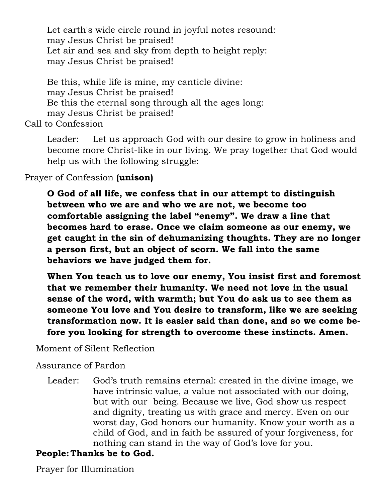Let earth's wide circle round in joyful notes resound: may Jesus Christ be praised! Let air and sea and sky from depth to height reply: may Jesus Christ be praised!

Be this, while life is mine, my canticle divine: may Jesus Christ be praised! Be this the eternal song through all the ages long: may Jesus Christ be praised!

Call to Confession

Leader: Let us approach God with our desire to grow in holiness and become more Christ-like in our living. We pray together that God would help us with the following struggle:

Prayer of Confession **(unison)** 

**O God of all life, we confess that in our attempt to distinguish between who we are and who we are not, we become too comfortable assigning the label "enemy". We draw a line that becomes hard to erase. Once we claim someone as our enemy, we get caught in the sin of dehumanizing thoughts. They are no longer a person first, but an object of scorn. We fall into the same behaviors we have judged them for.** 

**When You teach us to love our enemy, You insist first and foremost that we remember their humanity. We need not love in the usual sense of the word, with warmth; but You do ask us to see them as someone You love and You desire to transform, like we are seeking transformation now. It is easier said than done, and so we come before you looking for strength to overcome these instincts. Amen.** 

Moment of Silent Reflection

Assurance of Pardon

 Leader: God's truth remains eternal: created in the divine image, we have intrinsic value, a value not associated with our doing, but with our being. Because we live, God show us respect and dignity, treating us with grace and mercy. Even on our worst day, God honors our humanity. Know your worth as a child of God, and in faith be assured of your forgiveness, for nothing can stand in the way of God's love for you.

# **People: Thanks be to God.**

Prayer for Illumination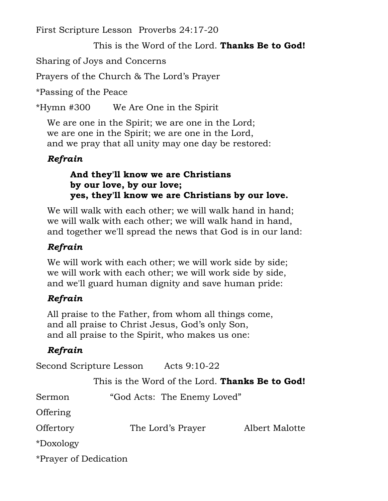First Scripture Lesson Proverbs 24:17-20

This is the Word of the Lord. **Thanks Be to God!** 

Sharing of Joys and Concerns

Prayers of the Church & The Lord's Prayer

\*Passing of the Peace

\*Hymn #300 We Are One in the Spirit

We are one in the Spirit; we are one in the Lord; we are one in the Spirit; we are one in the Lord, and we pray that all unity may one day be restored:

### *Refrain*

### **And they'll know we are Christians by our love, by our love; yes, they'll know we are Christians by our love.**

We will walk with each other; we will walk hand in hand; we will walk with each other; we will walk hand in hand, and together we'll spread the news that God is in our land:

# *Refrain*

We will work with each other; we will work side by side; we will work with each other; we will work side by side, and we'll guard human dignity and save human pride:

# *Refrain*

All praise to the Father, from whom all things come, and all praise to Christ Jesus, God's only Son, and all praise to the Spirit, who makes us one:

# *Refrain*

Second Scripture Lesson Acts 9:10-22

This is the Word of the Lord. **Thanks Be to God!** 

| Sermon                | "God Acts: The Enemy Loved" |                |
|-----------------------|-----------------------------|----------------|
| <b>Offering</b>       |                             |                |
| Offertory             | The Lord's Prayer           | Albert Malotte |
| *Doxology             |                             |                |
| *Prayer of Dedication |                             |                |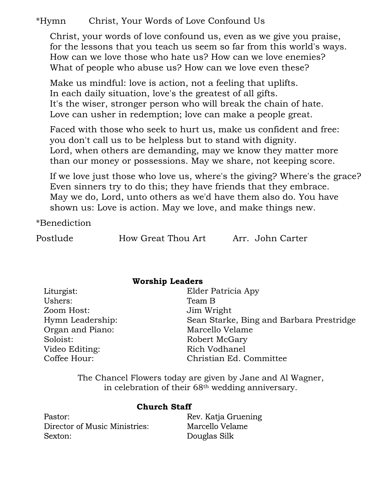### \*Hymn Christ, Your Words of Love Confound Us

Christ, your words of love confound us, even as we give you praise, for the lessons that you teach us seem so far from this world's ways. How can we love those who hate us? How can we love enemies? What of people who abuse us? How can we love even these?

Make us mindful: love is action, not a feeling that uplifts. In each daily situation, love's the greatest of all gifts. It's the wiser, stronger person who will break the chain of hate. Love can usher in redemption; love can make a people great.

Faced with those who seek to hurt us, make us confident and free: you don't call us to be helpless but to stand with dignity. Lord, when others are demanding, may we know they matter more than our money or possessions. May we share, not keeping score.

If we love just those who love us, where's the giving? Where's the grace? Even sinners try to do this; they have friends that they embrace. May we do, Lord, unto others as we'd have them also do. You have shown us: Love is action. May we love, and make things new.

\*Benediction

Postlude How Great Thou Art Arr. John Carter

| <b>Worship Leaders</b> |                                          |  |  |
|------------------------|------------------------------------------|--|--|
| Liturgist:             | Elder Patricia Apy                       |  |  |
| Ushers:                | Team B                                   |  |  |
| Zoom Host:             | Jim Wright                               |  |  |
| Hymn Leadership:       | Sean Starke, Bing and Barbara Prestridge |  |  |
| Organ and Piano:       | Marcello Velame                          |  |  |
| Soloist:               | Robert McGary                            |  |  |
| Video Editing:         | Rich Vodhanel                            |  |  |
| Coffee Hour:           | Christian Ed. Committee                  |  |  |
|                        |                                          |  |  |

The Chancel Flowers today are given by Jane and Al Wagner, in celebration of their 68th wedding anniversary.

#### **Church Staff**

Pastor: Director of Music Ministries: Sexton:

Rev. Katja Gruening Marcello Velame Douglas Silk